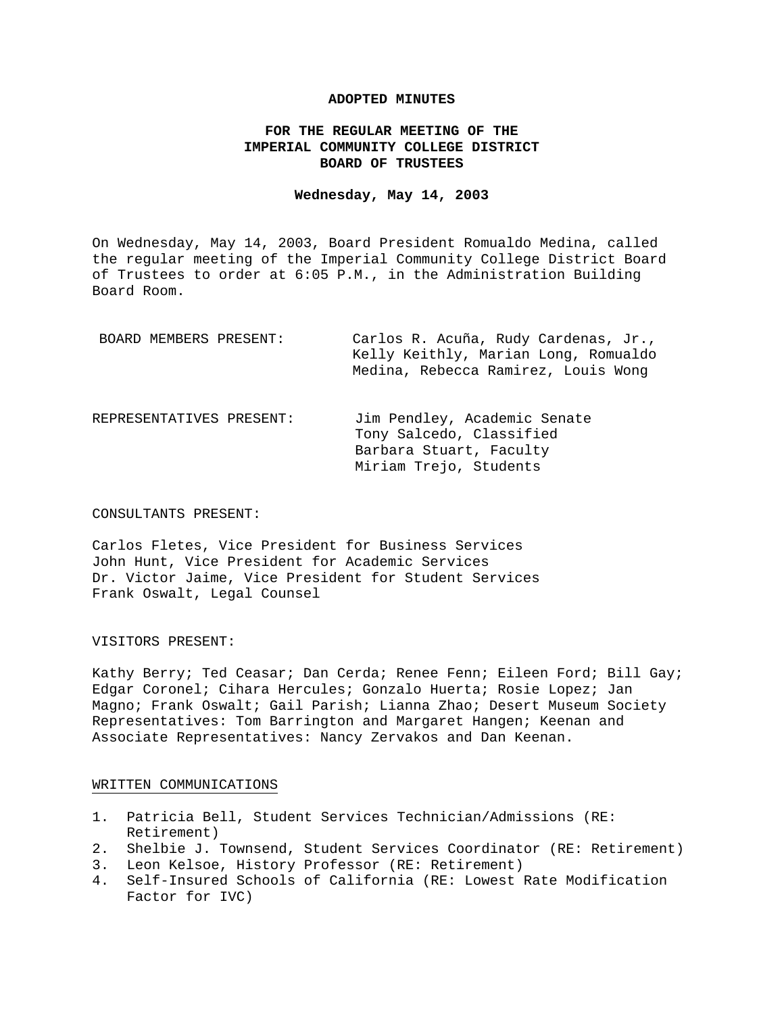## **ADOPTED MINUTES**

# **FOR THE REGULAR MEETING OF THE IMPERIAL COMMUNITY COLLEGE DISTRICT BOARD OF TRUSTEES**

## **Wednesday, May 14, 2003**

On Wednesday, May 14, 2003, Board President Romualdo Medina, called the regular meeting of the Imperial Community College District Board of Trustees to order at 6:05 P.M., in the Administration Building Board Room.

| BOARD MEMBERS PRESENT:   | Carlos R. Acuña, Rudy Cardenas, Jr.,<br>Kelly Keithly, Marian Long, Romualdo<br>Medina, Rebecca Ramirez, Louis Wong |
|--------------------------|---------------------------------------------------------------------------------------------------------------------|
| REPRESENTATIVES PRESENT: | Jim Pendley, Academic Senate<br>Tony Salcedo, Classified<br>Barbara Stuart, Faculty<br>Miriam Trejo, Students       |

## CONSULTANTS PRESENT:

Carlos Fletes, Vice President for Business Services John Hunt, Vice President for Academic Services Dr. Victor Jaime, Vice President for Student Services Frank Oswalt, Legal Counsel

## VISITORS PRESENT:

Kathy Berry; Ted Ceasar; Dan Cerda; Renee Fenn; Eileen Ford; Bill Gay; Edgar Coronel; Cihara Hercules; Gonzalo Huerta; Rosie Lopez; Jan Magno; Frank Oswalt; Gail Parish; Lianna Zhao; Desert Museum Society Representatives: Tom Barrington and Margaret Hangen; Keenan and Associate Representatives: Nancy Zervakos and Dan Keenan.

### WRITTEN COMMUNICATIONS

- 1. Patricia Bell, Student Services Technician/Admissions (RE: Retirement)
- 2. Shelbie J. Townsend, Student Services Coordinator (RE: Retirement)
- 3. Leon Kelsoe, History Professor (RE: Retirement)
- 4. Self-Insured Schools of California (RE: Lowest Rate Modification Factor for IVC)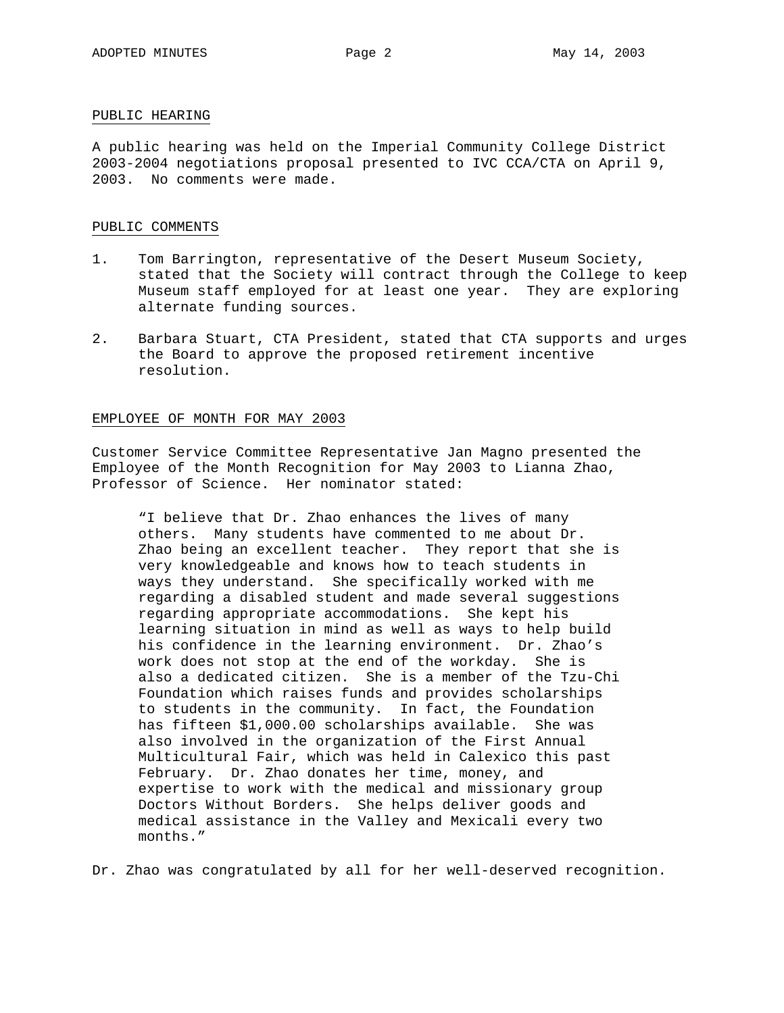## PUBLIC HEARING

A public hearing was held on the Imperial Community College District 2003-2004 negotiations proposal presented to IVC CCA/CTA on April 9, 2003. No comments were made.

## PUBLIC COMMENTS

- 1. Tom Barrington, representative of the Desert Museum Society, stated that the Society will contract through the College to keep Museum staff employed for at least one year. They are exploring alternate funding sources.
- 2. Barbara Stuart, CTA President, stated that CTA supports and urges the Board to approve the proposed retirement incentive resolution.

### EMPLOYEE OF MONTH FOR MAY 2003

Customer Service Committee Representative Jan Magno presented the Employee of the Month Recognition for May 2003 to Lianna Zhao, Professor of Science. Her nominator stated:

"I believe that Dr. Zhao enhances the lives of many others. Many students have commented to me about Dr. Zhao being an excellent teacher. They report that she is very knowledgeable and knows how to teach students in ways they understand. She specifically worked with me regarding a disabled student and made several suggestions regarding appropriate accommodations. She kept his learning situation in mind as well as ways to help build his confidence in the learning environment. Dr. Zhao's work does not stop at the end of the workday. She is also a dedicated citizen. She is a member of the Tzu-Chi Foundation which raises funds and provides scholarships to students in the community. In fact, the Foundation has fifteen \$1,000.00 scholarships available. She was also involved in the organization of the First Annual Multicultural Fair, which was held in Calexico this past February. Dr. Zhao donates her time, money, and expertise to work with the medical and missionary group Doctors Without Borders. She helps deliver goods and medical assistance in the Valley and Mexicali every two months."

Dr. Zhao was congratulated by all for her well-deserved recognition.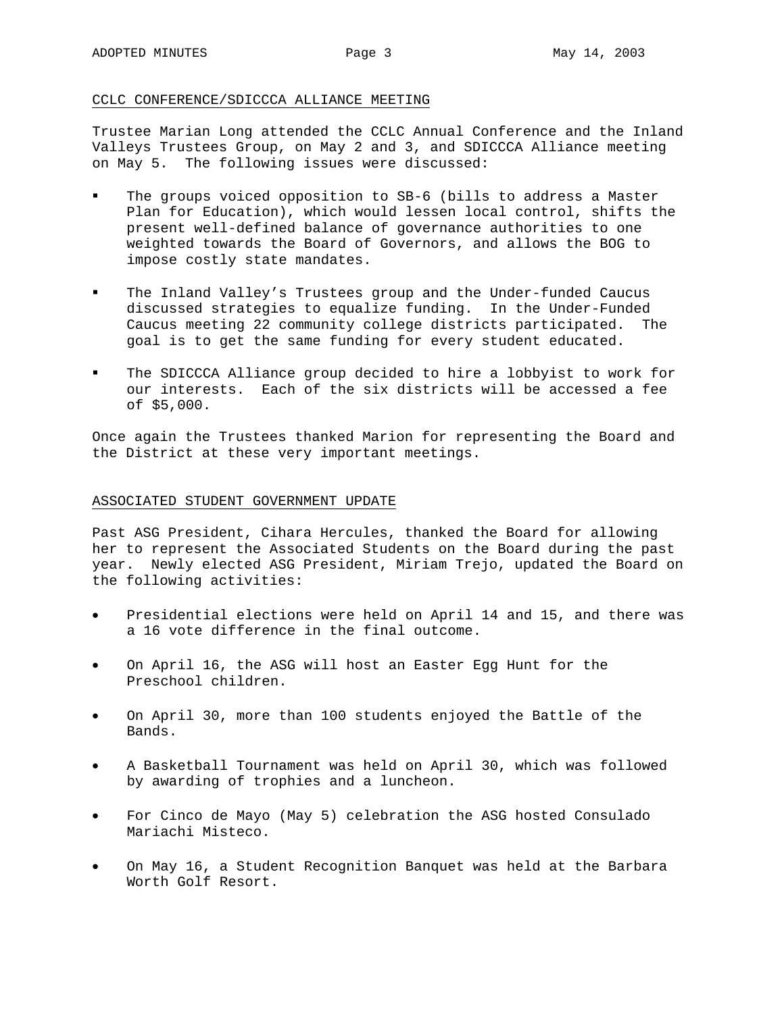## CCLC CONFERENCE/SDICCCA ALLIANCE MEETING

Trustee Marian Long attended the CCLC Annual Conference and the Inland Valleys Trustees Group, on May 2 and 3, and SDICCCA Alliance meeting on May 5. The following issues were discussed:

- The groups voiced opposition to SB-6 (bills to address a Master Plan for Education), which would lessen local control, shifts the present well-defined balance of governance authorities to one weighted towards the Board of Governors, and allows the BOG to impose costly state mandates.
- The Inland Valley's Trustees group and the Under-funded Caucus discussed strategies to equalize funding. In the Under-Funded Caucus meeting 22 community college districts participated. The goal is to get the same funding for every student educated.
- The SDICCCA Alliance group decided to hire a lobbyist to work for our interests. Each of the six districts will be accessed a fee of \$5,000.

Once again the Trustees thanked Marion for representing the Board and the District at these very important meetings.

## ASSOCIATED STUDENT GOVERNMENT UPDATE

Past ASG President, Cihara Hercules, thanked the Board for allowing her to represent the Associated Students on the Board during the past year. Newly elected ASG President, Miriam Trejo, updated the Board on the following activities:

- Presidential elections were held on April 14 and 15, and there was a 16 vote difference in the final outcome.
- On April 16, the ASG will host an Easter Egg Hunt for the Preschool children.
- On April 30, more than 100 students enjoyed the Battle of the Bands.
- A Basketball Tournament was held on April 30, which was followed by awarding of trophies and a luncheon.
- For Cinco de Mayo (May 5) celebration the ASG hosted Consulado Mariachi Misteco.
- On May 16, a Student Recognition Banquet was held at the Barbara Worth Golf Resort.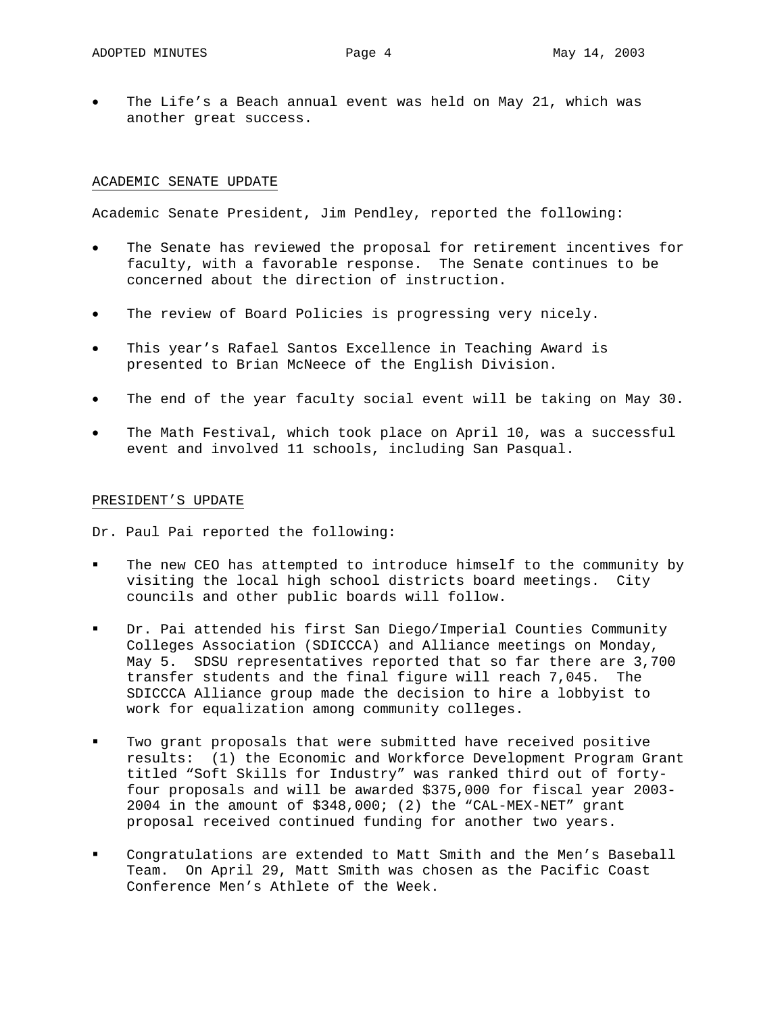The Life's a Beach annual event was held on May 21, which was another great success.

## ACADEMIC SENATE UPDATE

Academic Senate President, Jim Pendley, reported the following:

- The Senate has reviewed the proposal for retirement incentives for faculty, with a favorable response. The Senate continues to be concerned about the direction of instruction.
- The review of Board Policies is progressing very nicely.
- This year's Rafael Santos Excellence in Teaching Award is presented to Brian McNeece of the English Division.
- The end of the year faculty social event will be taking on May 30.
- The Math Festival, which took place on April 10, was a successful event and involved 11 schools, including San Pasqual.

## PRESIDENT'S UPDATE

Dr. Paul Pai reported the following:

- The new CEO has attempted to introduce himself to the community by visiting the local high school districts board meetings. City councils and other public boards will follow.
- Dr. Pai attended his first San Diego/Imperial Counties Community Colleges Association (SDICCCA) and Alliance meetings on Monday, May 5. SDSU representatives reported that so far there are 3,700 transfer students and the final figure will reach 7,045. The SDICCCA Alliance group made the decision to hire a lobbyist to work for equalization among community colleges.
- Two grant proposals that were submitted have received positive results: (1) the Economic and Workforce Development Program Grant titled "Soft Skills for Industry" was ranked third out of fortyfour proposals and will be awarded \$375,000 for fiscal year 2003- 2004 in the amount of \$348,000; (2) the "CAL-MEX-NET" grant proposal received continued funding for another two years.
- Congratulations are extended to Matt Smith and the Men's Baseball Team. On April 29, Matt Smith was chosen as the Pacific Coast Conference Men's Athlete of the Week.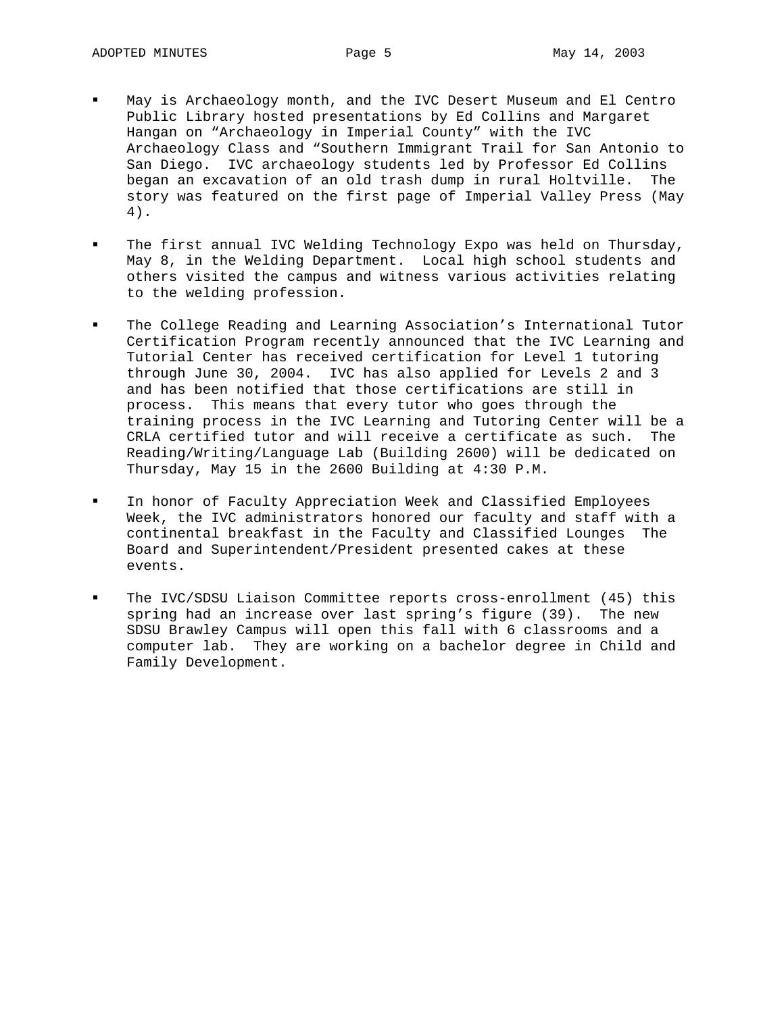- May is Archaeology month, and the IVC Desert Museum and El Centro Public Library hosted presentations by Ed Collins and Margaret Hangan on "Archaeology in Imperial County" with the IVC Archaeology Class and "Southern Immigrant Trail for San Antonio to San Diego. IVC archaeology students led by Professor Ed Collins began an excavation of an old trash dump in rural Holtville. The story was featured on the first page of Imperial Valley Press (May 4).
- The first annual IVC Welding Technology Expo was held on Thursday, May 8, in the Welding Department. Local high school students and others visited the campus and witness various activities relating to the welding profession.
- The College Reading and Learning Association's International Tutor Certification Program recently announced that the IVC Learning and Tutorial Center has received certification for Level 1 tutoring through June 30, 2004. IVC has also applied for Levels 2 and 3 and has been notified that those certifications are still in process. This means that every tutor who goes through the training process in the IVC Learning and Tutoring Center will be a CRLA certified tutor and will receive a certificate as such. The Reading/Writing/Language Lab (Building 2600) will be dedicated on Thursday, May 15 in the 2600 Building at 4:30 P.M.
- In honor of Faculty Appreciation Week and Classified Employees Week, the IVC administrators honored our faculty and staff with a continental breakfast in the Faculty and Classified Lounges The Board and Superintendent/President presented cakes at these events.
- The IVC/SDSU Liaison Committee reports cross-enrollment (45) this spring had an increase over last spring's figure (39). The new SDSU Brawley Campus will open this fall with 6 classrooms and a computer lab. They are working on a bachelor degree in Child and Family Development.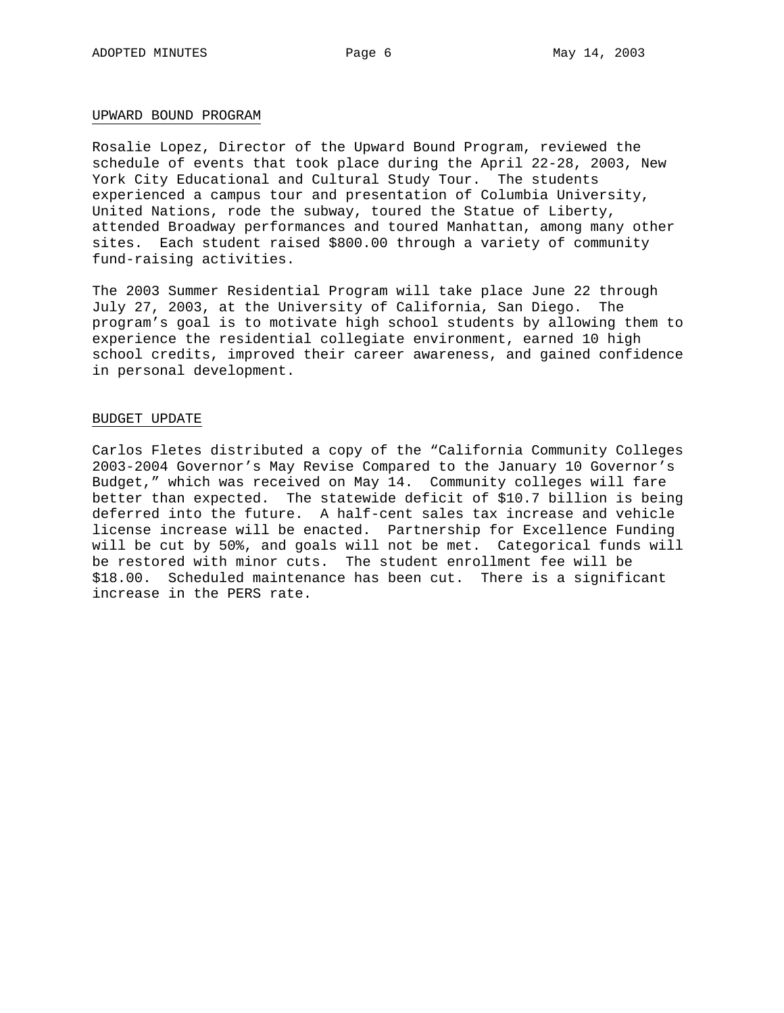## UPWARD BOUND PROGRAM

Rosalie Lopez, Director of the Upward Bound Program, reviewed the schedule of events that took place during the April 22-28, 2003, New York City Educational and Cultural Study Tour. The students experienced a campus tour and presentation of Columbia University, United Nations, rode the subway, toured the Statue of Liberty, attended Broadway performances and toured Manhattan, among many other sites. Each student raised \$800.00 through a variety of community fund-raising activities.

The 2003 Summer Residential Program will take place June 22 through July 27, 2003, at the University of California, San Diego. The program's goal is to motivate high school students by allowing them to experience the residential collegiate environment, earned 10 high school credits, improved their career awareness, and gained confidence in personal development.

## BUDGET UPDATE

Carlos Fletes distributed a copy of the "California Community Colleges 2003-2004 Governor's May Revise Compared to the January 10 Governor's Budget," which was received on May 14. Community colleges will fare better than expected. The statewide deficit of \$10.7 billion is being deferred into the future. A half-cent sales tax increase and vehicle license increase will be enacted. Partnership for Excellence Funding will be cut by 50%, and goals will not be met. Categorical funds will be restored with minor cuts. The student enrollment fee will be \$18.00. Scheduled maintenance has been cut. There is a significant increase in the PERS rate.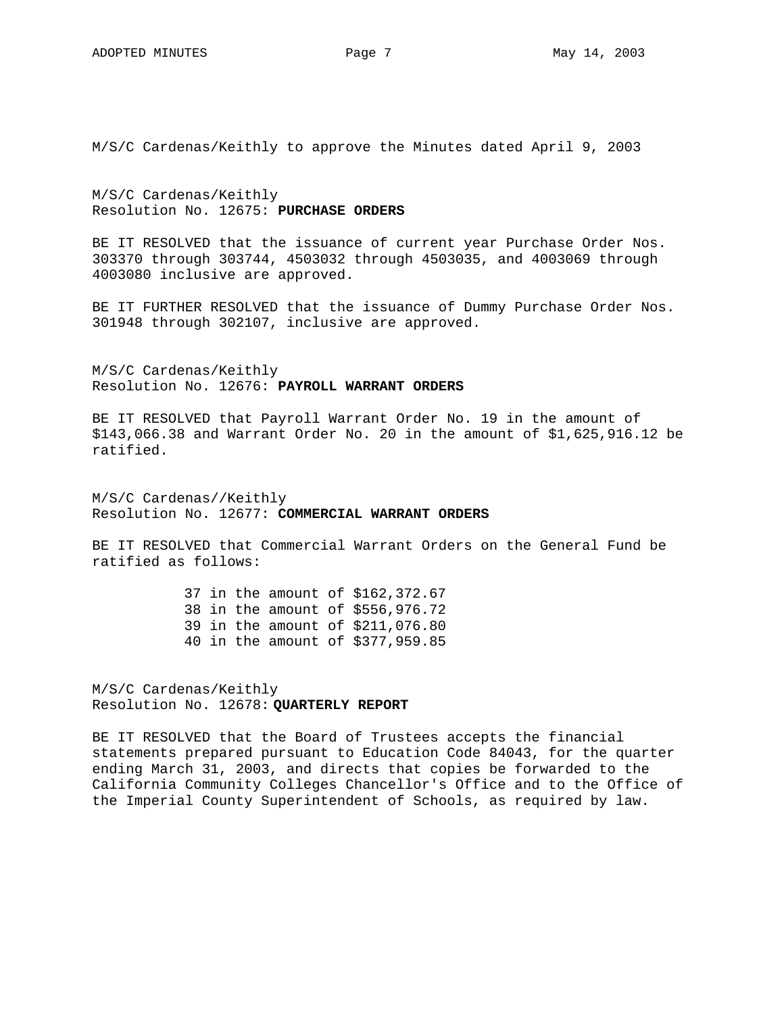M/S/C Cardenas/Keithly to approve the Minutes dated April 9, 2003

M/S/C Cardenas/Keithly Resolution No. 12675: **PURCHASE ORDERS**

BE IT RESOLVED that the issuance of current year Purchase Order Nos. 303370 through 303744, 4503032 through 4503035, and 4003069 through 4003080 inclusive are approved.

BE IT FURTHER RESOLVED that the issuance of Dummy Purchase Order Nos. 301948 through 302107, inclusive are approved.

M/S/C Cardenas/Keithly Resolution No. 12676: **PAYROLL WARRANT ORDERS**

BE IT RESOLVED that Payroll Warrant Order No. 19 in the amount of \$143,066.38 and Warrant Order No. 20 in the amount of \$1,625,916.12 be ratified.

M/S/C Cardenas//Keithly Resolution No. 12677: **COMMERCIAL WARRANT ORDERS**

BE IT RESOLVED that Commercial Warrant Orders on the General Fund be ratified as follows:

> 37 in the amount of \$162,372.67 38 in the amount of \$556,976.72 39 in the amount of \$211,076.80 40 in the amount of \$377,959.85

M/S/C Cardenas/Keithly Resolution No. 12678: **QUARTERLY REPORT** 

BE IT RESOLVED that the Board of Trustees accepts the financial statements prepared pursuant to Education Code 84043, for the quarter ending March 31, 2003, and directs that copies be forwarded to the California Community Colleges Chancellor's Office and to the Office of the Imperial County Superintendent of Schools, as required by law.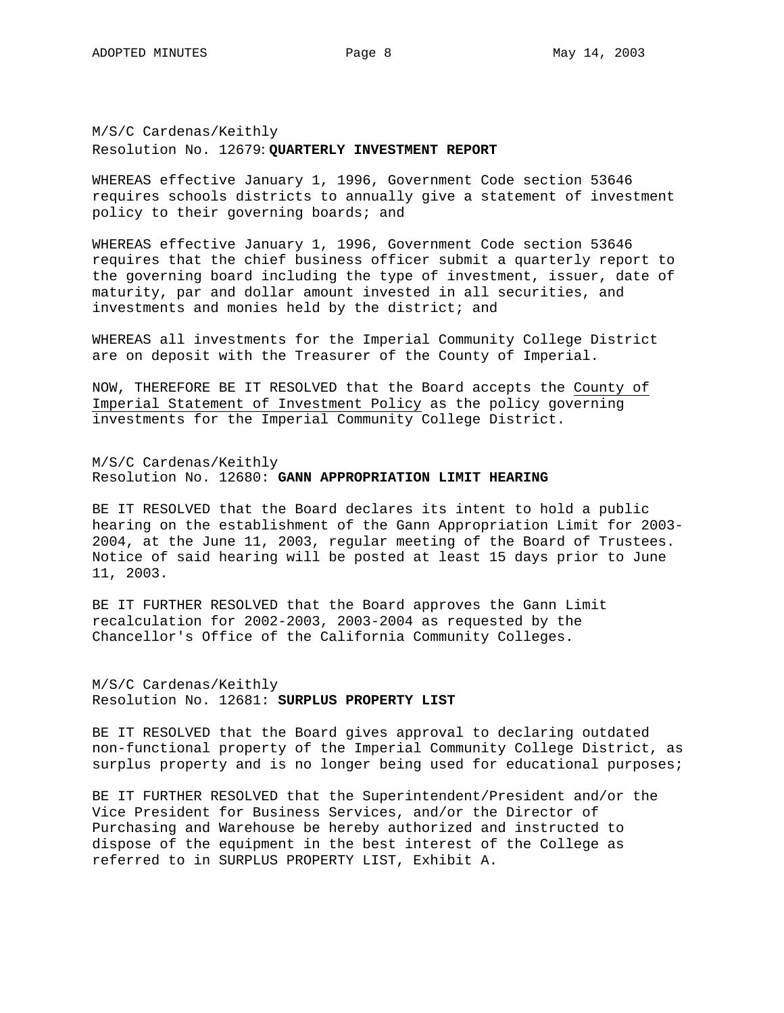# M/S/C Cardenas/Keithly Resolution No. 12679: **QUARTERLY INVESTMENT REPORT**

WHEREAS effective January 1, 1996, Government Code section 53646 requires schools districts to annually give a statement of investment policy to their governing boards; and

WHEREAS effective January 1, 1996, Government Code section 53646 requires that the chief business officer submit a quarterly report to the governing board including the type of investment, issuer, date of maturity, par and dollar amount invested in all securities, and investments and monies held by the district; and

WHEREAS all investments for the Imperial Community College District are on deposit with the Treasurer of the County of Imperial.

NOW, THEREFORE BE IT RESOLVED that the Board accepts the County of Imperial Statement of Investment Policy as the policy governing investments for the Imperial Community College District.

M/S/C Cardenas/Keithly Resolution No. 12680: **GANN APPROPRIATION LIMIT HEARING**

BE IT RESOLVED that the Board declares its intent to hold a public hearing on the establishment of the Gann Appropriation Limit for 2003- 2004, at the June 11, 2003, regular meeting of the Board of Trustees. Notice of said hearing will be posted at least 15 days prior to June 11, 2003.

BE IT FURTHER RESOLVED that the Board approves the Gann Limit recalculation for 2002-2003, 2003-2004 as requested by the Chancellor's Office of the California Community Colleges.

M/S/C Cardenas/Keithly Resolution No. 12681: **SURPLUS PROPERTY LIST** 

BE IT RESOLVED that the Board gives approval to declaring outdated non-functional property of the Imperial Community College District, as surplus property and is no longer being used for educational purposes;

BE IT FURTHER RESOLVED that the Superintendent/President and/or the Vice President for Business Services, and/or the Director of Purchasing and Warehouse be hereby authorized and instructed to dispose of the equipment in the best interest of the College as referred to in SURPLUS PROPERTY LIST, Exhibit A.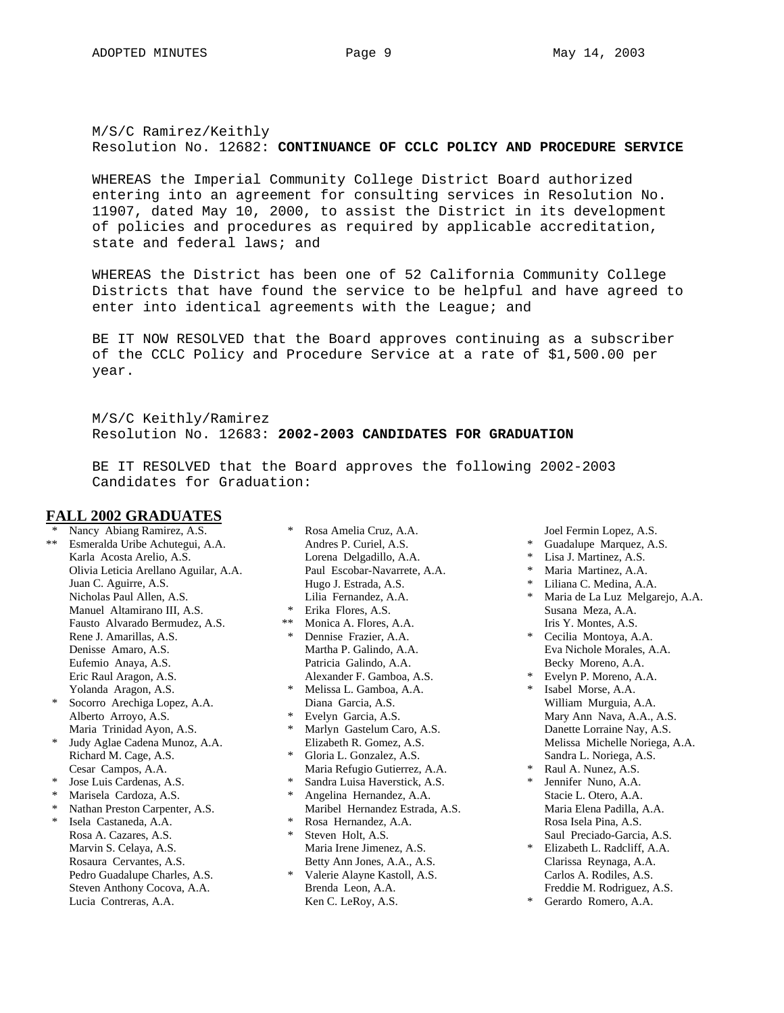# M/S/C Ramirez/Keithly Resolution No. 12682: **CONTINUANCE OF CCLC POLICY AND PROCEDURE SERVICE**

WHEREAS the Imperial Community College District Board authorized entering into an agreement for consulting services in Resolution No. 11907, dated May 10, 2000, to assist the District in its development of policies and procedures as required by applicable accreditation, state and federal laws; and

WHEREAS the District has been one of 52 California Community College Districts that have found the service to be helpful and have agreed to enter into identical agreements with the League; and

BE IT NOW RESOLVED that the Board approves continuing as a subscriber of the CCLC Policy and Procedure Service at a rate of \$1,500.00 per year.

M/S/C Keithly/Ramirez Resolution No. 12683: **2002-2003 CANDIDATES FOR GRADUATION**

BE IT RESOLVED that the Board approves the following 2002-2003 Candidates for Graduation:

# **FALL 2002 GRADUATES**

- \* Nancy Abiang Ramirez, A.S. \*\* Esmeralda Uribe Achutegui, A.A. Karla Acosta Arelio, A.S. Olivia Leticia Arellano Aguilar, A.A. Juan C. Aguirre, A.S. Nicholas Paul Allen, A.S. Manuel Altamirano III, A.S. Fausto Alvarado Bermudez, A.S. Rene J. Amarillas, A.S. Denisse Amaro, A.S. Eufemio Anaya, A.S. Eric Raul Aragon, A.S. Yolanda Aragon, A.S. \* Socorro Arechiga Lopez, A.A.
	- Alberto Arroyo, A.S. Maria Trinidad Ayon, A.S.
- \* Judy Aglae Cadena Munoz, A.A. Richard M. Cage, A.S. Cesar Campos, A.A.
- \* Jose Luis Cardenas, A.S.
- \* Marisela Cardoza, A.S.
- \* Nathan Preston Carpenter, A.S.
- Isela Castaneda, A.A. Rosa A. Cazares, A.S. Marvin S. Celaya, A.S. Rosaura Cervantes, A.S. Pedro Guadalupe Charles, A.S. Steven Anthony Cocova, A.A. Lucia Contreras, A.A.
- \* Rosa Amelia Cruz, A.A. Andres P. Curiel, A.S. Lorena Delgadillo, A.A. Paul Escobar-Navarrete, A.A. Hugo J. Estrada, A.S. Lilia Fernandez, A.A.
- \* Erika Flores, A.S.
- \*\* Monica A. Flores, A.A. \* Dennise Frazier, A.A. Martha P. Galindo, A.A. Patricia Galindo, A.A. Alexander F. Gamboa, A.S.
- \* Melissa L. Gamboa, A.A. Diana Garcia, A.S.
- \* Evelyn Garcia, A.S.
- \* Marlyn Gastelum Caro, A.S. Elizabeth R. Gomez, A.S.
- \* Gloria L. Gonzalez, A.S. Maria Refugio Gutierrez, A.A.
- \* Sandra Luisa Haverstick, A.S.
- \* Angelina Hernandez, A.A. Maribel Hernandez Estrada, A.S.
- \* Rosa Hernandez, A.A. \* Steven Holt, A.S. Maria Irene Jimenez, A.S. Betty Ann Jones, A.A., A.S.
- \* Valerie Alayne Kastoll, A.S. Brenda Leon, A.A. Ken C. LeRoy, A.S.

Joel Fermin Lopez, A.S.

- \* Guadalupe Marquez, A.S.
- \* Lisa J. Martinez, A.S.
- \* Maria Martinez, A.A.
- \* Liliana C. Medina, A.A.
- \* Maria de La Luz Melgarejo, A.A. Susana Meza, A.A. Iris Y. Montes, A.S.
- \* Cecilia Montoya, A.A. Eva Nichole Morales, A.A. Becky Moreno, A.A.
- \* Evelyn P. Moreno, A.A. \* Isabel Morse, A.A. William Murguia, A.A. Mary Ann Nava, A.A., A.S. Danette Lorraine Nay, A.S. Melissa Michelle Noriega, A.A. Sandra L. Noriega, A.S.
- \* Raul A. Nunez, A.S.
- \* Jennifer Nuno, A.A. Stacie L. Otero, A.A. Maria Elena Padilla, A.A. Rosa Isela Pina, A.S. Saul Preciado-Garcia, A.S.
- \* Elizabeth L. Radcliff, A.A. Clarissa Reynaga, A.A. Carlos A. Rodiles, A.S. Freddie M. Rodriguez, A.S.
- \* Gerardo Romero, A.A.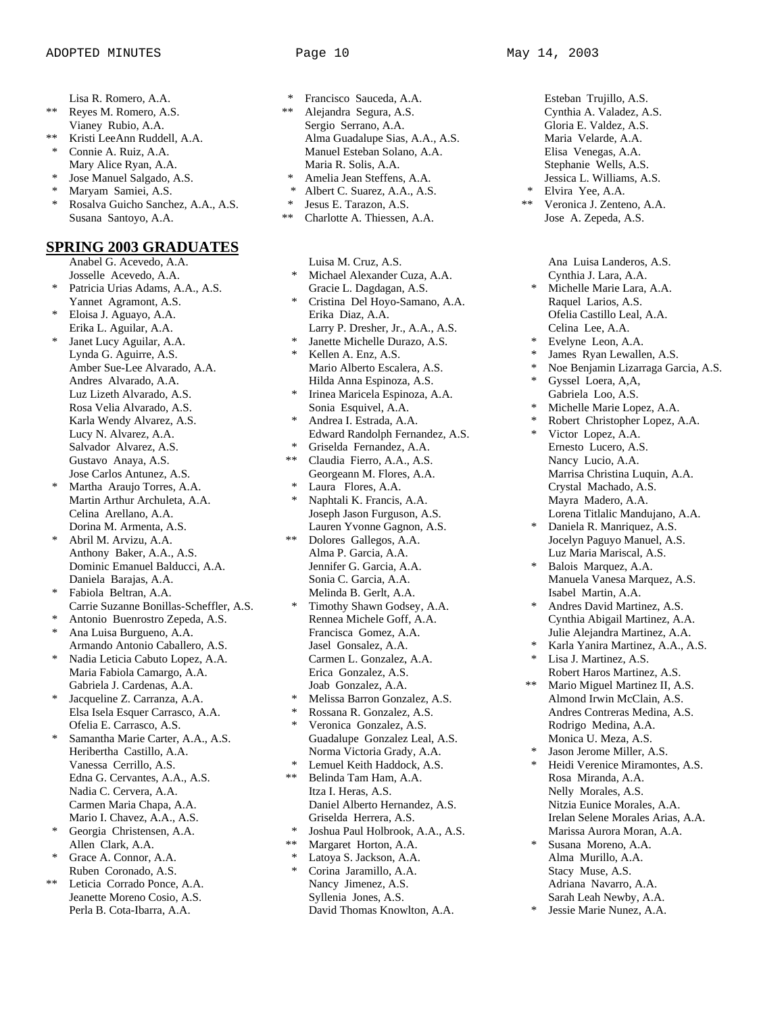Lisa R. Romero, A.A.

- \*\* Reyes M. Romero, A.S. Vianey Rubio, A.A. \*\* Kristi LeeAnn Ruddell, A.A. Connie A. Ruiz, A.A. Mary Alice Ryan, A.A. Jose Manuel Salgado, A.S. Maryam Samiei, A.S. Rosalva Guicho Sanchez, A.A., A.S. Susana Santoyo, A.A. **SPRING 2003 GRADUATES** Anabel G. Acevedo, A.A. Josselle Acevedo, A.A. Patricia Urias Adams, A.A., A.S. Yannet Agramont, A.S. \* Eloisa J. Aguayo, A.A. Erika L. Aguilar, A.A. Janet Lucy Aguilar, A.A. Lynda G. Aguirre, A.S. Amber Sue-Lee Alvarado, A.A. Andres Alvarado, A.A. Luz Lizeth Alvarado, A.S. Rosa Velia Alvarado, A.S. Karla Wendy Alvarez, A.S.
	- Lucy N. Alvarez, A.A. Salvador Alvarez, A.S. Gustavo Anaya, A.S. Jose Carlos Antunez, A.S.
- Martha Araujo Torres, A.A. Martin Arthur Archuleta, A.A. Celina Arellano, A.A. Dorina M. Armenta, A.S.
- Abril M. Arvizu, A.A. Anthony Baker, A.A., A.S. Dominic Emanuel Balducci, A.A. Daniela Barajas, A.A.
- \* Fabiola Beltran, A.A. Carrie Suzanne Bonillas-Scheffler, A.S.
- Antonio Buenrostro Zepeda, A.S.
- Ana Luisa Burgueno, A.A. Armando Antonio Caballero, A.S.
- Nadia Leticia Cabuto Lopez, A.A. Maria Fabiola Camargo, A.A. Gabriela J. Cardenas, A.A.
- Jacqueline Z. Carranza, A.A. Elsa Isela Esquer Carrasco, A.A. Ofelia E. Carrasco, A.S.
- Samantha Marie Carter, A.A., A.S. Heribertha Castillo, A.A. Vanessa Cerrillo, A.S. Edna G. Cervantes, A.A., A.S. Nadia C. Cervera, A.A. Carmen Maria Chapa, A.A. Mario I. Chavez, A.A., A.S.
- Georgia Christensen, A.A. Allen Clark, A.A.
- Grace A. Connor, A.A. Ruben Coronado, A.S.
- Leticia Corrado Ponce, A.A. Jeanette Moreno Cosio, A.S. Perla B. Cota-Ibarra, A.A.
- \* Francisco Sauceda, A.A.
- Alejandra Segura, A.S. Sergio Serrano, A.A. Alma Guadalupe Sias, A.A., A.S. Manuel Esteban Solano, A.A. Maria R. Solis, A.A.
- \* Amelia Jean Steffens, A.A.
- Albert C. Suarez, A.A., A.S.
- \* Jesus E. Tarazon, A.S.
- Charlotte A. Thiessen, A.A.
	- Luisa M. Cruz, A.S.
	- Michael Alexander Cuza, A.A. Gracie L. Dagdagan, A.S.
	- \* Cristina Del Hoyo-Samano, A.A. Erika Diaz, A.A. Larry P. Dresher, Jr., A.A., A.S.
- \* Janette Michelle Durazo, A.S.
- Kellen A. Enz, A.S. Mario Alberto Escalera, A.S. Hilda Anna Espinoza, A.S.
- Irinea Maricela Espinoza, A.A. Sonia Esquivel, A.A.<br>\* Andrea L. Estrada A.
- Andrea I. Estrada, A.A. Edward Randolph Fernandez, A.S. Griselda Fernandez, A.A.
- \*\* Claudia Fierro, A.A., A.S. Georgeann M. Flores, A.A.
- \* Laura Flores, A.A. Naphtali K. Francis, A.A. Joseph Jason Furguson, A.S.
- Lauren Yvonne Gagnon, A.S. \*\* Dolores Gallegos, A.A. Alma P. Garcia, A.A.
- Jennifer G. Garcia, A.A. Sonia C. Garcia, A.A. Melinda B. Gerlt, A.A. Timothy Shawn Godsey, A.A.
- Rennea Michele Goff, A.A. Francisca Gomez, A.A. Jasel Gonsalez, A.A. Carmen L. Gonzalez, A.A. Erica Gonzalez, A.S. Joab Gonzalez, A.A.
- \* Melissa Barron Gonzalez, A.S.
- Rossana R. Gonzalez, A.S. Veronica Gonzalez, A.S. Guadalupe Gonzalez Leal, A.S. Norma Victoria Grady, A.A.
- Lemuel Keith Haddock, A.S. Belinda Tam Ham, A.A. Itza I. Heras, A.S. Daniel Alberto Hernandez, A.S. Griselda Herrera, A.S.
- Joshua Paul Holbrook, A.A., A.S.
- \*\* Margaret Horton, A.A.
- Latoya S. Jackson, A.A.
- Corina Jaramillo, A.A. Nancy Jimenez, A.S. Syllenia Jones, A.S. David Thomas Knowlton, A.A.
- Esteban Trujillo, A.S. Cynthia A. Valadez, A.S. Gloria E. Valdez, A.S. Maria Velarde, A.A. Elisa Venegas, A.A. Stephanie Wells, A.S.
- Jessica L. Williams, A.S.
- \* Elvira Yee, A.A. Veronica J. Zenteno, A.A. Jose A. Zepeda, A.S.
	- Ana Luisa Landeros, A.S. Cynthia J. Lara, A.A.
- Michelle Marie Lara, A.A. Raquel Larios, A.S. Ofelia Castillo Leal, A.A. Celina Lee, A.A.
- \* Evelyne Leon, A.A.
- James Ryan Lewallen, A.S.
- Noe Benjamin Lizarraga Garcia, A.S.
- \* Gyssel Loera, A,A, Gabriela Loo, A.S.
- Michelle Marie Lopez, A.A.
- Robert Christopher Lopez, A.A.
- Victor Lopez, A.A. Ernesto Lucero, A.S. Nancy Lucio, A.A. Marrisa Christina Luquin, A.A. Crystal Machado, A.S. Mayra Madero, A.A. Lorena Titlalic Mandujano, A.A.
- Daniela R. Manriquez, A.S. Jocelyn Paguyo Manuel, A.S. Luz Maria Mariscal, A.S.
- Balois Marquez, A.A. Manuela Vanesa Marquez, A.S. Isabel Martin, A.A.
- Andres David Martinez, A.S. Cynthia Abigail Martinez, A.A. Julie Alejandra Martinez, A.A.
- Karla Yanira Martinez, A.A., A.S.
- Lisa J. Martinez, A.S. Robert Haros Martinez, A.S.
- \*\* Mario Miguel Martinez II, A.S. Almond Irwin McClain, A.S. Andres Contreras Medina, A.S. Rodrigo Medina, A.A. Monica U. Meza, A.S.
- Jason Jerome Miller, A.S.
- Heidi Verenice Miramontes, A.S. Rosa Miranda, A.A. Nelly Morales, A.S. Nitzia Eunice Morales, A.A. Irelan Selene Morales Arias, A.A. Marissa Aurora Moran, A.A.
- Susana Moreno, A.A. Alma Murillo, A.A. Stacy Muse, A.S. Adriana Navarro, A.A. Sarah Leah Newby, A.A.
- \* Jessie Marie Nunez, A.A.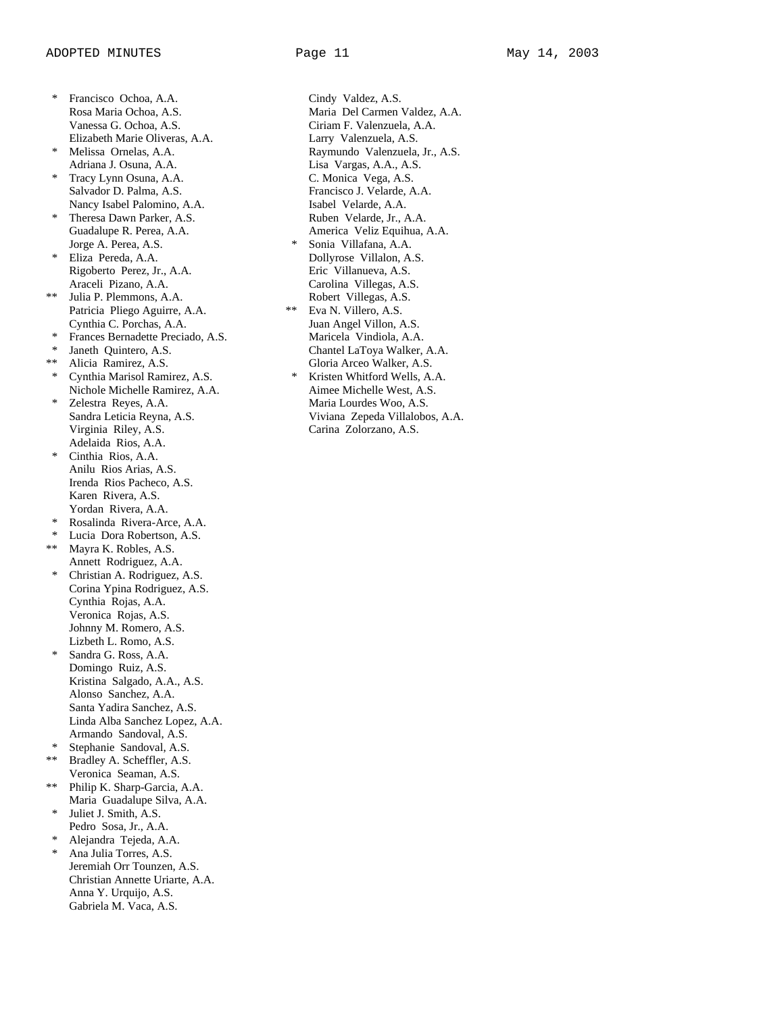Francisco Ochoa, A.A. Rosa Maria Ochoa, A.S. Vanessa G. Ochoa, A.S. Elizabeth Marie Oliveras, A.A.

- \* Melissa Ornelas, A.A. Adriana J. Osuna, A.A. Tracy Lynn Osuna, A.A.
- Salvador D. Palma, A.S. Nancy Isabel Palomino, A.A. Theresa Dawn Parker, A.S.
- Guadalupe R. Perea, A.A. Jorge A. Perea, A.S. Eliza Pereda, A.A.
- Rigoberto Perez, Jr., A.A. Araceli Pizano, A.A.
- \*\* Julia P. Plemmons, A.A. Patricia Pliego Aguirre, A.A. Cynthia C. Porchas, A.A.
- Frances Bernadette Preciado, A.S.
- Janeth Quintero, A.S.
- \*\* Alicia Ramirez, A.S.
- \* Cynthia Marisol Ramirez, A.S. Nichole Michelle Ramirez, A.A.
- Zelestra Reyes, A.A. Sandra Leticia Reyna, A.S. Virginia Riley, A.S. Adelaida Rios, A.A.
- Cinthia Rios, A.A. Anilu Rios Arias, A.S. Irenda Rios Pacheco, A.S. Karen Rivera, A.S. Yordan Rivera, A.A.
- Rosalinda Rivera-Arce, A.A.
- Lucia Dora Robertson, A.S.
- \*\* Mayra K. Robles, A.S. Annett Rodriguez, A.A.
- Christian A. Rodriguez, A.S. Corina Ypina Rodriguez, A.S. Cynthia Rojas, A.A. Veronica Rojas, A.S. Johnny M. Romero, A.S. Lizbeth L. Romo, A.S.
- Sandra G. Ross, A.A. Domingo Ruiz, A.S. Kristina Salgado, A.A., A.S. Alonso Sanchez, A.A. Santa Yadira Sanchez, A.S. Linda Alba Sanchez Lopez, A.A. Armando Sandoval, A.S.
- Stephanie Sandoval, A.S.
- \*\* Bradley A. Scheffler, A.S. Veronica Seaman, A.S.
- \*\* Philip K. Sharp-Garcia, A.A. Maria Guadalupe Silva, A.A.
- Juliet J. Smith, A.S. Pedro Sosa, Jr., A.A.
- Alejandra Tejeda, A.A. Ana Julia Torres, A.S. Jeremiah Orr Tounzen, A.S. Christian Annette Uriarte, A.A. Anna Y. Urquijo, A.S. Gabriela M. Vaca, A.S.

 Cindy Valdez, A.S. Maria Del Carmen Valdez, A.A. Ciriam F. Valenzuela, A.A. Larry Valenzuela, A.S. Raymundo Valenzuela, Jr., A.S. Lisa Vargas, A.A., A.S. C. Monica Vega, A.S. Francisco J. Velarde, A.A. Isabel Velarde, A.A. Ruben Velarde, Jr., A.A. America Veliz Equihua, A.A. Sonia Villafana, A.A. Dollyrose Villalon, A.S. Eric Villanueva, A.S. Carolina Villegas, A.S. Robert Villegas, A.S. \*\* Eva N. Villero, A.S. Juan Angel Villon, A.S. Maricela Vindiola, A.A. Chantel LaToya Walker, A.A. Gloria Arceo Walker, A.S. Kristen Whitford Wells, A.A.

 Aimee Michelle West, A.S. Maria Lourdes Woo, A.S. Viviana Zepeda Villalobos, A.A. Carina Zolorzano, A.S.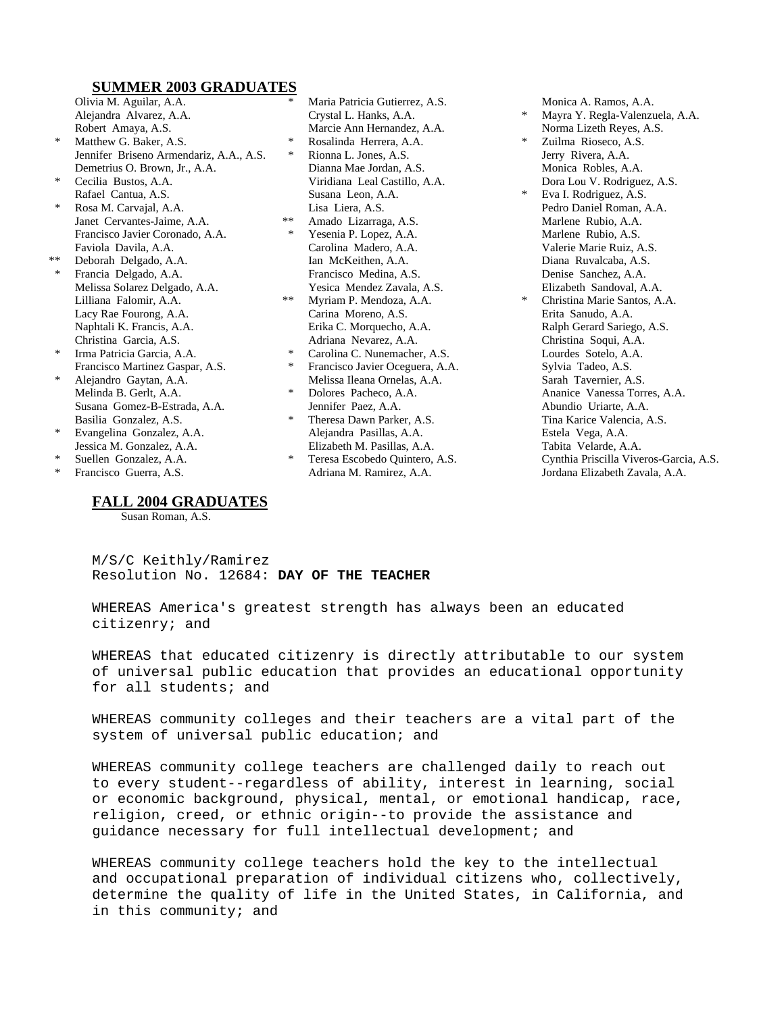# **SUMMER 2003 GRADUATES**

 Olivia M. Aguilar, A.A. Alejandra Alvarez, A.A. Robert Amaya, A.S. Matthew G. Baker, A.S. Jennifer Briseno Armendariz, A.A., A.S. Demetrius O. Brown, Jr., A.A. Cecilia Bustos, A.A. Rafael Cantua, A.S. Rosa M. Carvajal, A.A. Janet Cervantes-Jaime, A.A. Francisco Javier Coronado, A.A. Faviola Davila, A.A. \*\* Deborah Delgado, A.A. \* Francia Delgado, A.A. Melissa Solarez Delgado, A.A. Lilliana Falomir, A.A. Lacy Rae Fourong, A.A. Naphtali K. Francis, A.A. Christina Garcia, A.S. Irma Patricia Garcia, A.A. Francisco Martinez Gaspar, A.S. Alejandro Gaytan, A.A. Melinda B. Gerlt, A.A. Susana Gomez-B-Estrada, A.A. Basilia Gonzalez, A.S. \* Evangelina Gonzalez, A.A. Jessica M. Gonzalez, A.A.

- Suellen Gonzalez, A.A.
- \* Francisco Guerra, A.S.

# **FALL 2004 GRADUATES**

Susan Roman, A.S.

Maria Patricia Gutierrez, A.S. Crystal L. Hanks, A.A. Marcie Ann Hernandez, A.A.

- Rosalinda Herrera, A.A. Rionna L. Jones, A.S. Dianna Mae Jordan, A.S. Viridiana Leal Castillo, A.A. Susana Leon, A.A. Lisa Liera, A.S.
- \*\* Amado Lizarraga, A.S. \* Yesenia P. Lopez, A.A. Carolina Madero, A.A. Ian McKeithen, A.A. Francisco Medina, A.S. Yesica Mendez Zavala, A.S.
- \*\* Myriam P. Mendoza, A.A. Carina Moreno, A.S. Erika C. Morquecho, A.A. Adriana Nevarez, A.A.
- \* Carolina C. Nunemacher, A.S.
- \* Francisco Javier Oceguera, A.A. Melissa Ileana Ornelas, A.A.
- \* Dolores Pacheco, A.A. Jennifer Paez, A.A.<br>
\* Theresa Dawn Parke Theresa Dawn Parker, A.S.
- Alejandra Pasillas, A.A. Elizabeth M. Pasillas, A.A.
- \* Teresa Escobedo Quintero, A.S. Adriana M. Ramirez, A.A.

Monica A. Ramos, A.A.

- Mayra Y. Regla-Valenzuela, A.A. Norma Lizeth Reyes, A.S.
- Zuilma Rioseco, A.S. Jerry Rivera, A.A. Monica Robles, A.A. Dora Lou V. Rodriguez, A.S.
- Eva I. Rodriguez, A.S. Pedro Daniel Roman, A.A. Marlene Rubio, A.A. Marlene Rubio, A.S. Valerie Marie Ruiz, A.S. Diana Ruvalcaba, A.S. Denise Sanchez, A.A. Elizabeth Sandoval, A.A.
- \* Christina Marie Santos, A.A. Erita Sanudo, A.A. Ralph Gerard Sariego, A.S. Christina Soqui, A.A. Lourdes Sotelo, A.A. Sylvia Tadeo, A.S. Sarah Tavernier, A.S. Ananice Vanessa Torres, A.A. Abundio Uriarte, A.A. Tina Karice Valencia, A.S. Estela Vega, A.A. Tabita Velarde, A.A. Cynthia Priscilla Viveros-Garcia, A.S. Jordana Elizabeth Zavala, A.A.

M/S/C Keithly/Ramirez Resolution No. 12684: **DAY OF THE TEACHER** 

WHEREAS America's greatest strength has always been an educated citizenry; and

WHEREAS that educated citizenry is directly attributable to our system of universal public education that provides an educational opportunity for all students; and

WHEREAS community colleges and their teachers are a vital part of the system of universal public education; and

WHEREAS community college teachers are challenged daily to reach out to every student--regardless of ability, interest in learning, social or economic background, physical, mental, or emotional handicap, race, religion, creed, or ethnic origin--to provide the assistance and guidance necessary for full intellectual development; and

WHEREAS community college teachers hold the key to the intellectual and occupational preparation of individual citizens who, collectively, determine the quality of life in the United States, in California, and in this community; and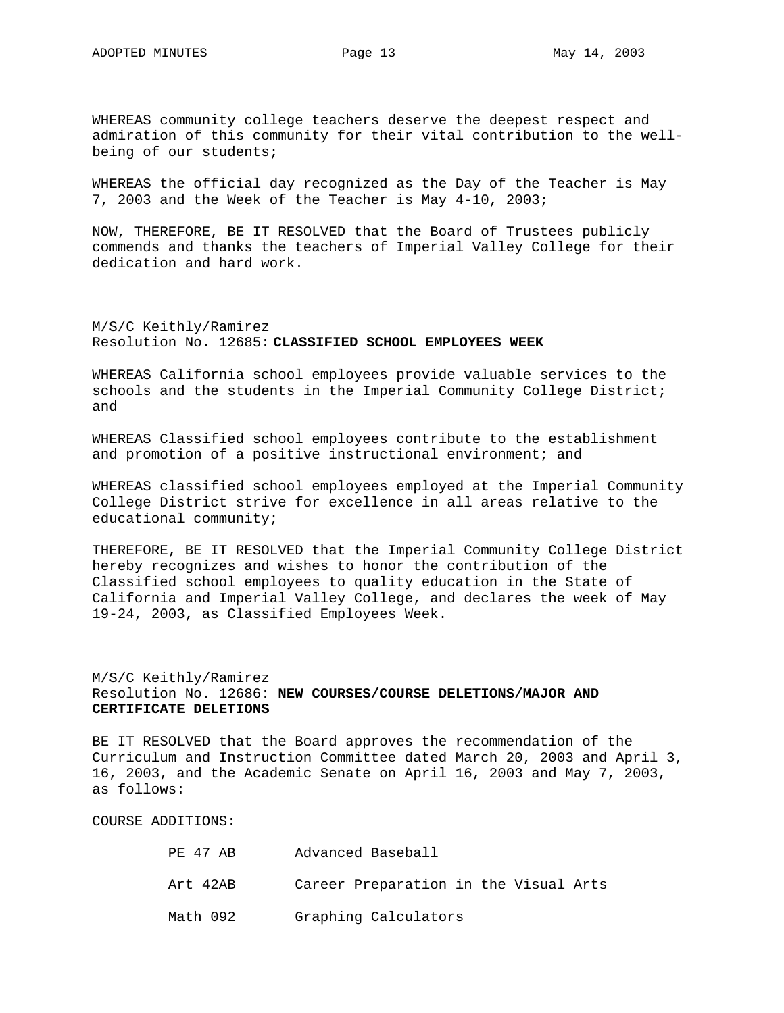WHEREAS community college teachers deserve the deepest respect and admiration of this community for their vital contribution to the wellbeing of our students;

WHEREAS the official day recognized as the Day of the Teacher is May 7, 2003 and the Week of the Teacher is May 4-10, 2003;

NOW, THEREFORE, BE IT RESOLVED that the Board of Trustees publicly commends and thanks the teachers of Imperial Valley College for their dedication and hard work.

M/S/C Keithly/Ramirez Resolution No. 12685: **CLASSIFIED SCHOOL EMPLOYEES WEEK** 

WHEREAS California school employees provide valuable services to the schools and the students in the Imperial Community College District; and

WHEREAS Classified school employees contribute to the establishment and promotion of a positive instructional environment; and

WHEREAS classified school employees employed at the Imperial Community College District strive for excellence in all areas relative to the educational community;

THEREFORE, BE IT RESOLVED that the Imperial Community College District hereby recognizes and wishes to honor the contribution of the Classified school employees to quality education in the State of California and Imperial Valley College, and declares the week of May 19-24, 2003, as Classified Employees Week.

# M/S/C Keithly/Ramirez Resolution No. 12686: **NEW COURSES/COURSE DELETIONS/MAJOR AND CERTIFICATE DELETIONS**

BE IT RESOLVED that the Board approves the recommendation of the Curriculum and Instruction Committee dated March 20, 2003 and April 3, 16, 2003, and the Academic Senate on April 16, 2003 and May 7, 2003, as follows:

COURSE ADDITIONS:

| PE 47 AB | Advanced Baseball                     |
|----------|---------------------------------------|
| Art 42AB | Career Preparation in the Visual Arts |
| Math 092 | Graphing Calculators                  |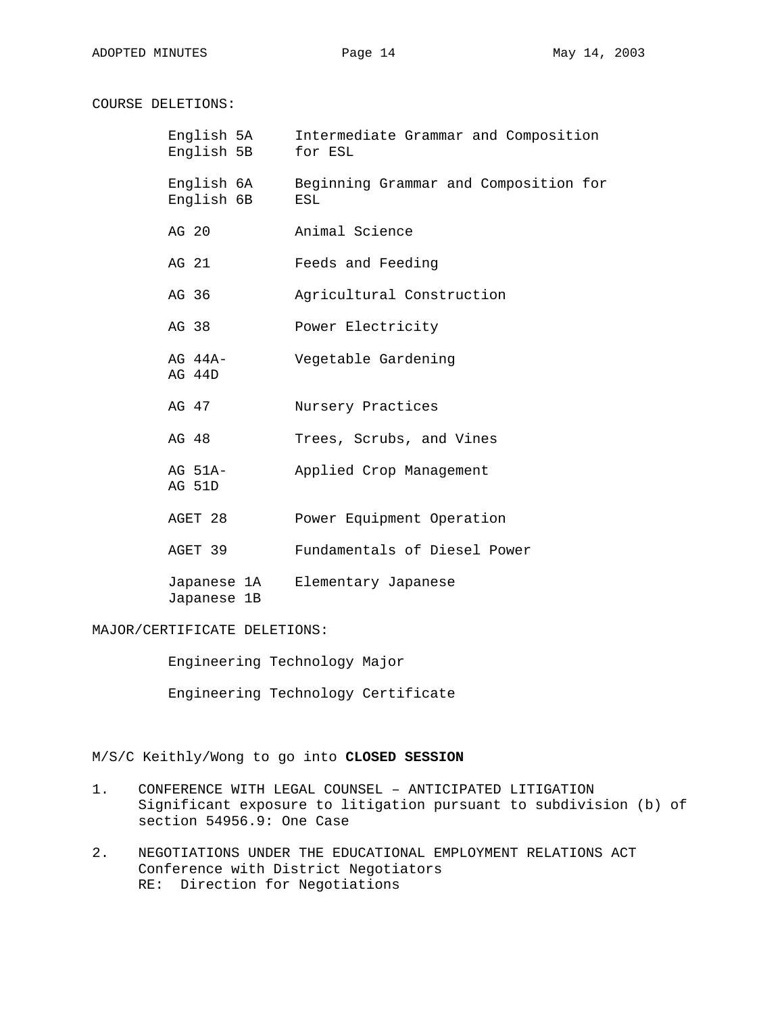COURSE DELETIONS:

| English 5A<br>English 5B   | Intermediate Grammar and Composition<br>for ESL     |
|----------------------------|-----------------------------------------------------|
| English 6A<br>English 6B   | Beginning Grammar and Composition for<br><b>ESL</b> |
| AG 20                      | Animal Science                                      |
| AG 21                      | Feeds and Feeding                                   |
| AG 36                      | Agricultural Construction                           |
| AG 38                      | Power Electricity                                   |
| $AG 44A-$<br>AG 44D        | Vegetable Gardening                                 |
| AG 47                      | Nursery Practices                                   |
| AG 48                      | Trees, Scrubs, and Vines                            |
| AG 51A-<br>AG 51D          | Applied Crop Management                             |
| AGET 28                    | Power Equipment Operation                           |
| AGET 39                    | Fundamentals of Diesel Power                        |
| Japanese 1A<br>Japanese 1B | Elementary Japanese                                 |

# MAJOR/CERTIFICATE DELETIONS:

Engineering Technology Major

Engineering Technology Certificate

# M/S/C Keithly/Wong to go into **CLOSED SESSION**

- 1. CONFERENCE WITH LEGAL COUNSEL ANTICIPATED LITIGATION Significant exposure to litigation pursuant to subdivision (b) of section 54956.9: One Case
- 2. NEGOTIATIONS UNDER THE EDUCATIONAL EMPLOYMENT RELATIONS ACT Conference with District Negotiators RE: Direction for Negotiations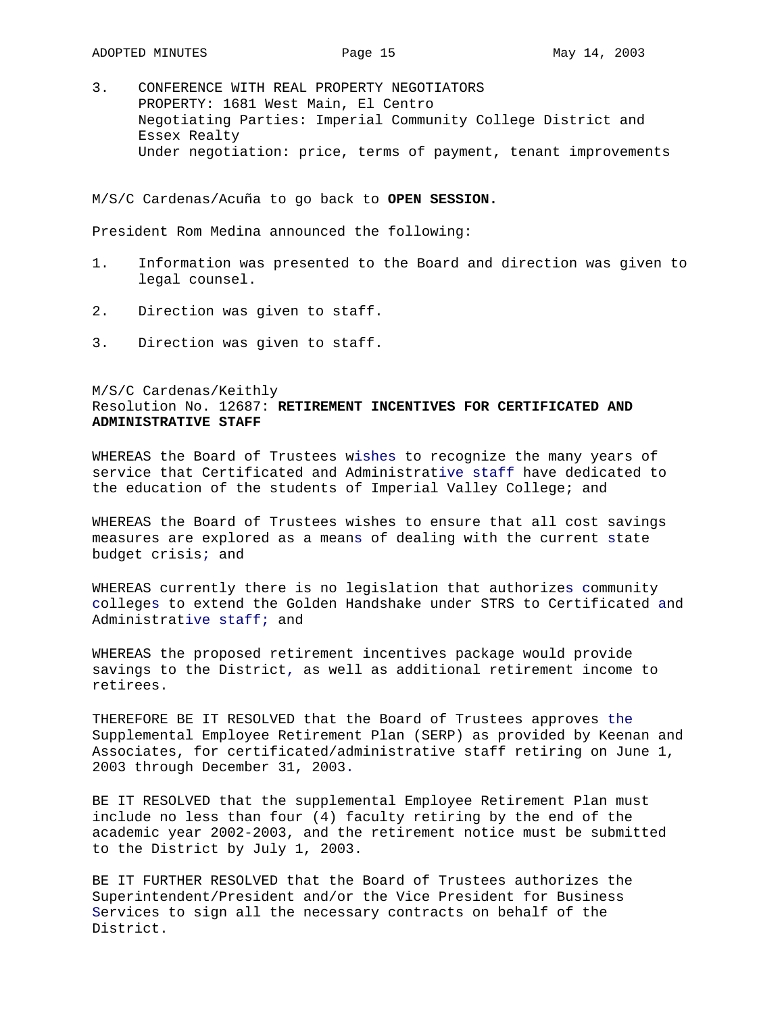3. CONFERENCE WITH REAL PROPERTY NEGOTIATORS PROPERTY: 1681 West Main, El Centro Negotiating Parties: Imperial Community College District and Essex Realty Under negotiation: price, terms of payment, tenant improvements

M/S/C Cardenas/Acuña to go back to **OPEN SESSION.**

President Rom Medina announced the following:

- 1. Information was presented to the Board and direction was given to legal counsel.
- 2. Direction was given to staff.
- 3. Direction was given to staff.

# M/S/C Cardenas/Keithly Resolution No. 12687: **RETIREMENT INCENTIVES FOR CERTIFICATED AND ADMINISTRATIVE STAFF**

WHEREAS the Board of Trustees wishes to recognize the many years of service that Certificated and Administrative staff have dedicated to the education of the students of Imperial Valley College; and

WHEREAS the Board of Trustees wishes to ensure that all cost savings measures are explored as a means of dealing with the current state budget crisis; and

WHEREAS currently there is no legislation that authorizes community colleges to extend the Golden Handshake under STRS to Certificated and Administrative staff; and

WHEREAS the proposed retirement incentives package would provide savings to the District, as well as additional retirement income to retirees.

THEREFORE BE IT RESOLVED that the Board of Trustees approves the Supplemental Employee Retirement Plan (SERP) as provided by Keenan and Associates, for certificated/administrative staff retiring on June 1, 2003 through December 31, 2003.

BE IT RESOLVED that the supplemental Employee Retirement Plan must include no less than four (4) faculty retiring by the end of the academic year 2002-2003, and the retirement notice must be submitted to the District by July 1, 2003.

BE IT FURTHER RESOLVED that the Board of Trustees authorizes the Superintendent/President and/or the Vice President for Business Services to sign all the necessary contracts on behalf of the District.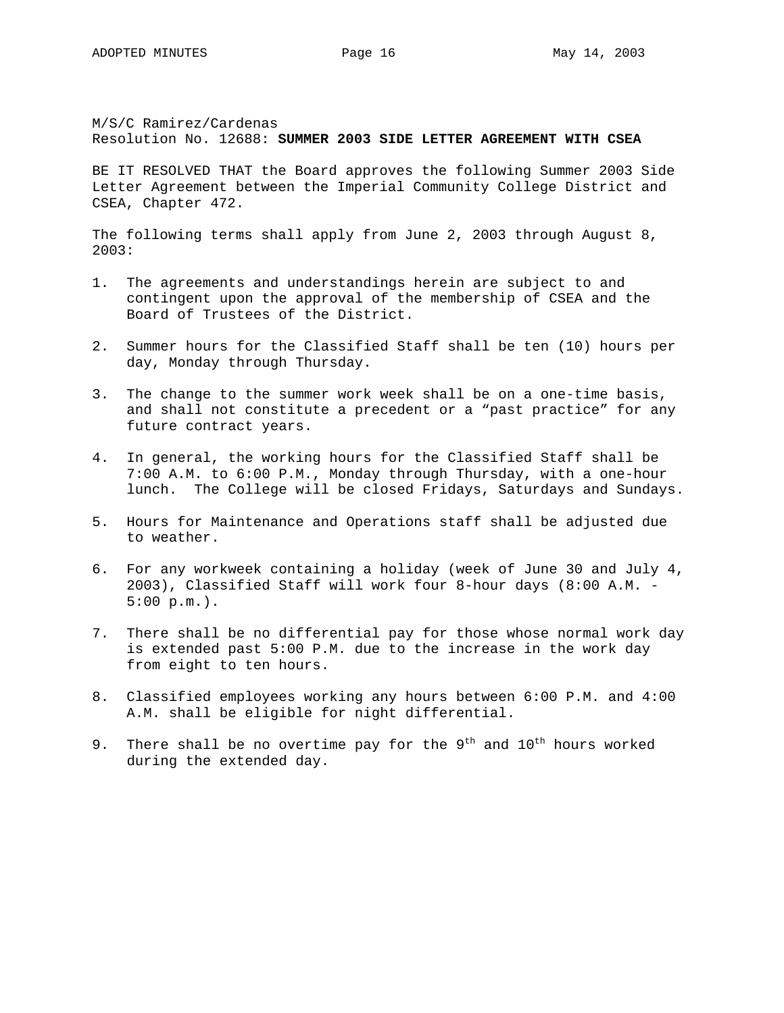M/S/C Ramirez/Cardenas Resolution No. 12688: **SUMMER 2003 SIDE LETTER AGREEMENT WITH CSEA**

BE IT RESOLVED THAT the Board approves the following Summer 2003 Side Letter Agreement between the Imperial Community College District and CSEA, Chapter 472.

The following terms shall apply from June 2, 2003 through August 8, 2003:

- 1. The agreements and understandings herein are subject to and contingent upon the approval of the membership of CSEA and the Board of Trustees of the District.
- 2. Summer hours for the Classified Staff shall be ten (10) hours per day, Monday through Thursday.
- 3. The change to the summer work week shall be on a one-time basis, and shall not constitute a precedent or a "past practice" for any future contract years.
- 4. In general, the working hours for the Classified Staff shall be 7:00 A.M. to 6:00 P.M., Monday through Thursday, with a one-hour lunch. The College will be closed Fridays, Saturdays and Sundays.
- 5. Hours for Maintenance and Operations staff shall be adjusted due to weather.
- 6. For any workweek containing a holiday (week of June 30 and July 4, 2003), Classified Staff will work four 8-hour days (8:00 A.M. - 5:00 p.m.).
- 7. There shall be no differential pay for those whose normal work day is extended past 5:00 P.M. due to the increase in the work day from eight to ten hours.
- 8. Classified employees working any hours between 6:00 P.M. and 4:00 A.M. shall be eligible for night differential.
- 9. There shall be no overtime pay for the  $9<sup>th</sup>$  and  $10<sup>th</sup>$  hours worked during the extended day.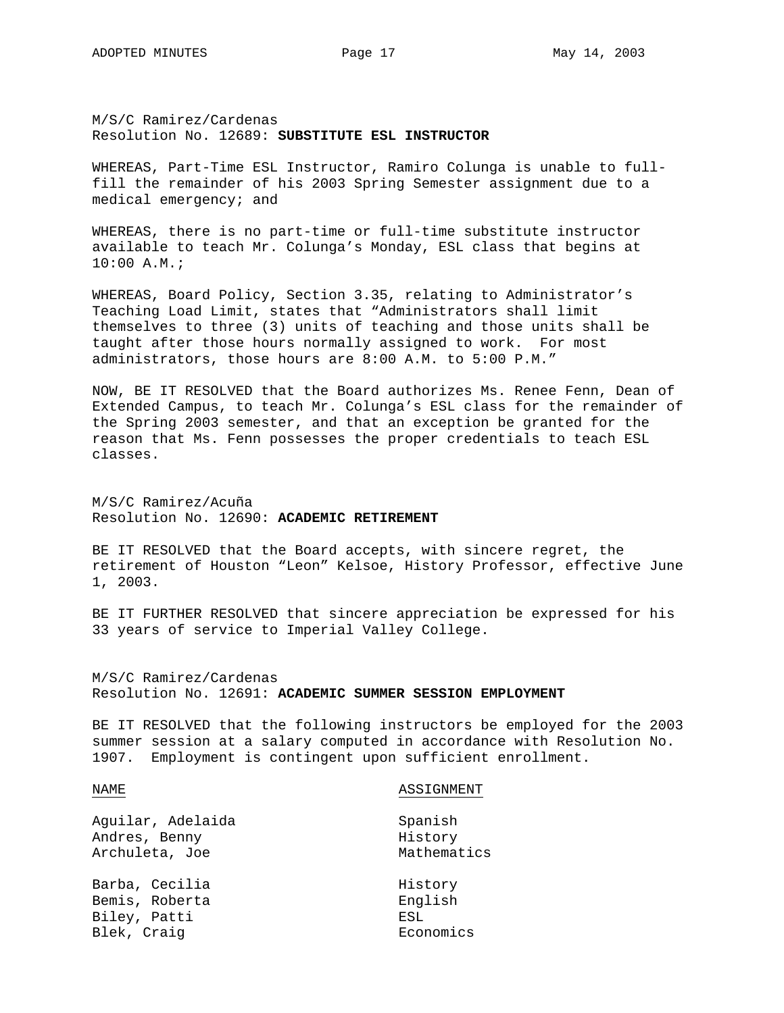M/S/C Ramirez/Cardenas Resolution No. 12689: **SUBSTITUTE ESL INSTRUCTOR**

WHEREAS, Part-Time ESL Instructor, Ramiro Colunga is unable to fullfill the remainder of his 2003 Spring Semester assignment due to a medical emergency; and

WHEREAS, there is no part-time or full-time substitute instructor available to teach Mr. Colunga's Monday, ESL class that begins at 10:00 A.M.;

WHEREAS, Board Policy, Section 3.35, relating to Administrator's Teaching Load Limit, states that "Administrators shall limit themselves to three (3) units of teaching and those units shall be taught after those hours normally assigned to work. For most administrators, those hours are 8:00 A.M. to 5:00 P.M."

NOW, BE IT RESOLVED that the Board authorizes Ms. Renee Fenn, Dean of Extended Campus, to teach Mr. Colunga's ESL class for the remainder of the Spring 2003 semester, and that an exception be granted for the reason that Ms. Fenn possesses the proper credentials to teach ESL classes.

M/S/C Ramirez/Acuña Resolution No. 12690: **ACADEMIC RETIREMENT**

BE IT RESOLVED that the Board accepts, with sincere regret, the retirement of Houston "Leon" Kelsoe, History Professor, effective June 1, 2003.

BE IT FURTHER RESOLVED that sincere appreciation be expressed for his 33 years of service to Imperial Valley College.

M/S/C Ramirez/Cardenas Resolution No. 12691: **ACADEMIC SUMMER SESSION EMPLOYMENT** 

BE IT RESOLVED that the following instructors be employed for the 2003 summer session at a salary computed in accordance with Resolution No. 1907. Employment is contingent upon sufficient enrollment.

### NAME ASSIGNMENT

| Aguilar, Adelaida | Spanish     |
|-------------------|-------------|
| Andres, Benny     | History     |
| Archuleta, Joe    | Mathematics |
| Barba, Cecilia    | History     |
| Bemis, Roberta    | English     |
| Biley, Patti      | ESL         |
| Blek, Craig       | Economics   |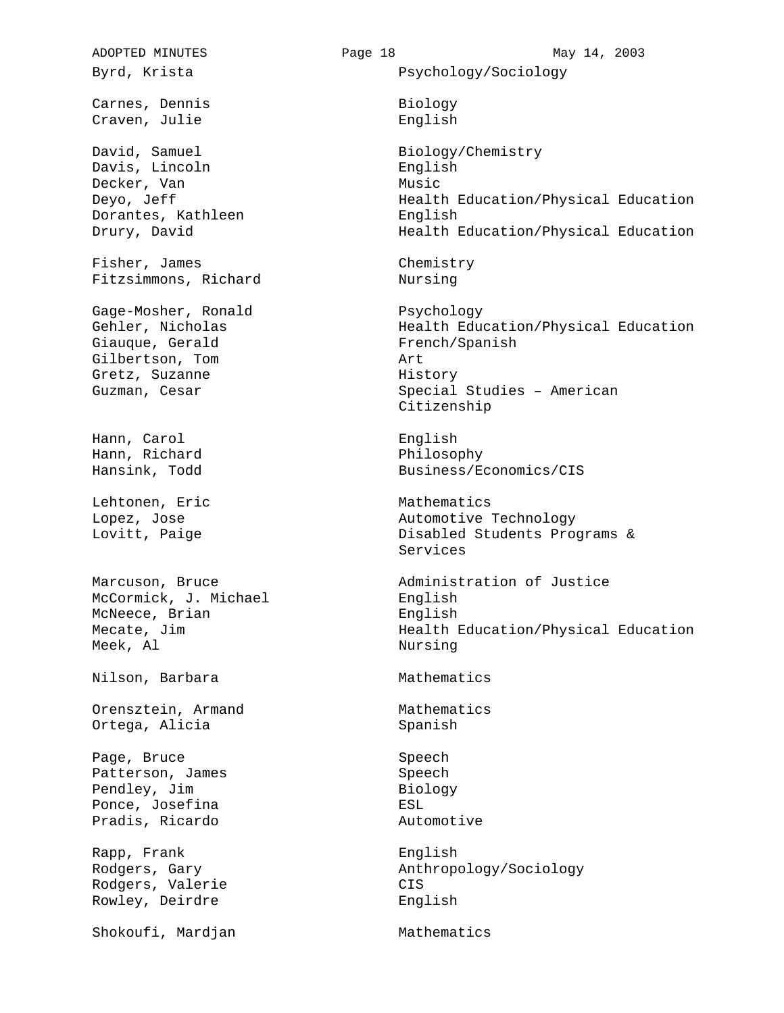Carnes, Dennis Biology Craven, Julie English David, Samuel Biology/Chemistry Davis, Lincoln English Decker, Van Music Dorantes, Kathleen English Fisher, James Chemistry Fitzsimmons, Richard Nursing Gage-Mosher, Ronald Psychology Giauque, Gerald French/Spanish Gilbertson, Tom **Art** Gretz, Suzanne History Hann, Carol **English** Hann, Richard Philosophy Lehtonen, Eric **Mathematics** Mathematics McCormick, J. Michael English McNeece, Brian English Meek, Al Nursing Nilson, Barbara Mathematics Orensztein, Armand Mathematics Ortega, Alicia Spanish Page, Bruce Speech Patterson, James Speech Pendley, Jim Biology Ponce, Josefina and ESL Pradis, Ricardo Automotive Rapp, Frank English Rodgers, Valerie CIS Rowley, Deirdre English Shokoufi, Mardjan Mathematics

ADOPTED MINUTES **Page 18** May 14, 2003 Byrd, Krista **Psychology/Sociology** Deyo, Jeff **Health Education/Physical Education** Drury, David Health Education/Physical Education Gehler, Nicholas **Health Education/Physical Education** Guzman, Cesar Special Studies – American Citizenship Hansink, Todd Business/Economics/CIS Lopez, Jose **Automotive Technology** Lovitt, Paige **Disabled Students Programs &** Services Marcuson, Bruce **Administration** of Justice Mecate, Jim Health Education/Physical Education

Rodgers, Gary **Anthropology/Sociology**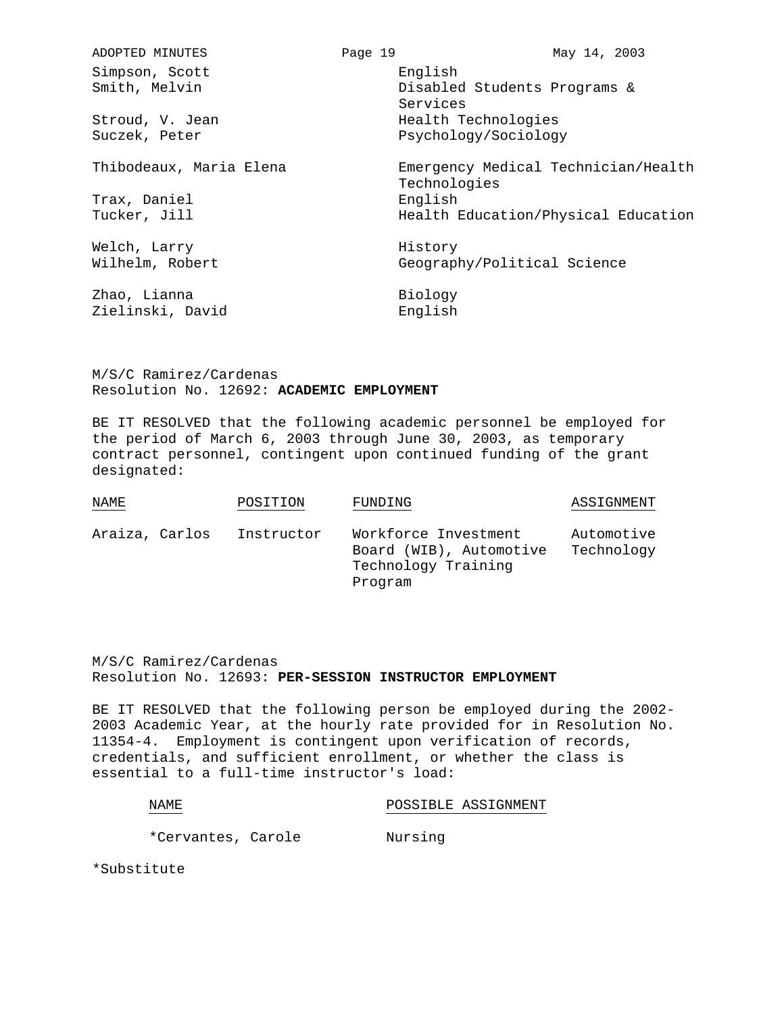| ADOPTED MINUTES         | Page 19 |                                                     | May 14, 2003 |
|-------------------------|---------|-----------------------------------------------------|--------------|
| Simpson, Scott          |         | English                                             |              |
| Smith, Melvin           |         | Disabled Students Programs &<br>Services            |              |
| Stroud, V. Jean         |         | Health Technologies                                 |              |
| Suczek, Peter           |         | Psychology/Sociology                                |              |
| Thibodeaux, Maria Elena |         | Emergency Medical Technician/Health<br>Technologies |              |
| Trax, Daniel            |         | English                                             |              |
| Tucker, Jill            |         | Health Education/Physical Education                 |              |
| Welch, Larry            |         | History                                             |              |
| Wilhelm, Robert         |         | Geography/Political Science                         |              |
| Zhao, Lianna            |         | Biology                                             |              |
| Zielinski, David        |         | English                                             |              |

M/S/C Ramirez/Cardenas Resolution No. 12692: **ACADEMIC EMPLOYMENT**

BE IT RESOLVED that the following academic personnel be employed for the period of March 6, 2003 through June 30, 2003, as temporary contract personnel, contingent upon continued funding of the grant designated:

| NAME           | POSITION   | FUNDING                                                                           | ASSIGNMENT               |
|----------------|------------|-----------------------------------------------------------------------------------|--------------------------|
| Araiza, Carlos | Instructor | Workforce Investment<br>Board (WIB), Automotive<br>Technology Training<br>Program | Automotive<br>Technology |

M/S/C Ramirez/Cardenas Resolution No. 12693: **PER-SESSION INSTRUCTOR EMPLOYMENT**

BE IT RESOLVED that the following person be employed during the 2002- 2003 Academic Year, at the hourly rate provided for in Resolution No. 11354-4. Employment is contingent upon verification of records, credentials, and sufficient enrollment, or whether the class is essential to a full-time instructor's load:

| NAMF.              |         | POSSIBLE ASSIGNMENT |
|--------------------|---------|---------------------|
|                    |         |                     |
| *Cervantes, Carole | Nursing |                     |

\*Substitute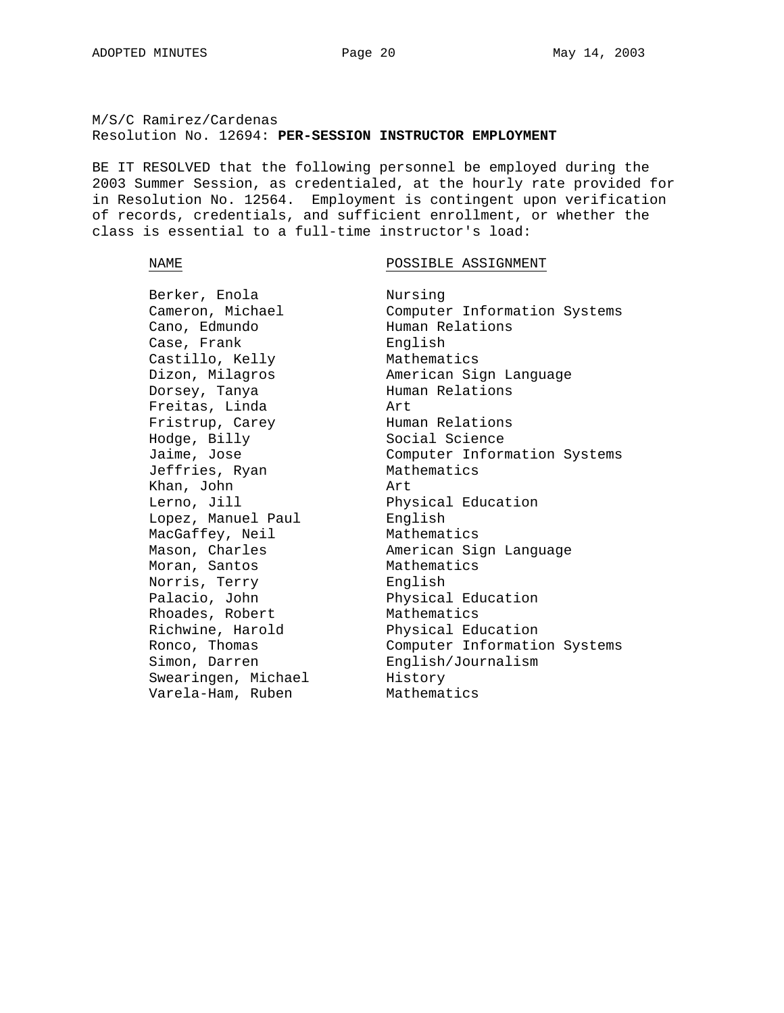M/S/C Ramirez/Cardenas Resolution No. 12694: **PER-SESSION INSTRUCTOR EMPLOYMENT**

BE IT RESOLVED that the following personnel be employed during the 2003 Summer Session, as credentialed, at the hourly rate provided for in Resolution No. 12564. Employment is contingent upon verification of records, credentials, and sufficient enrollment, or whether the class is essential to a full-time instructor's load:

## NAME POSSIBLE ASSIGNMENT

Berker, Enola Nursing Cano, Edmundo Human Relations Case, Frank English Castillo, Kelly Mathematics Dorsey, Tanya Human Relations Freitas, Linda Art<br>Fristrup, Carey Human Relations Fristrup, Carey Hodge, Billy Social Science Jeffries, Ryan Mathematics Khan, John **Art** Lerno, Jill Physical Education Lopez, Manuel Paul Finglish MacGaffey, Neil Mathematics Moran, Santos Mathematics Norris, Terry **English** Palacio, John Physical Education<br>
Rhoades, Robert Mathematics Rhoades, Robert Richwine, Harold Physical Education Simon, Darren English/Journalism Swearingen, Michael History Varela-Ham, Ruben

Computer Information Systems Dizon, Milagros American Sign Language Jaime, Jose Computer Information Systems Mason, Charles **American Sign Language** Ronco, Thomas Computer Information Systems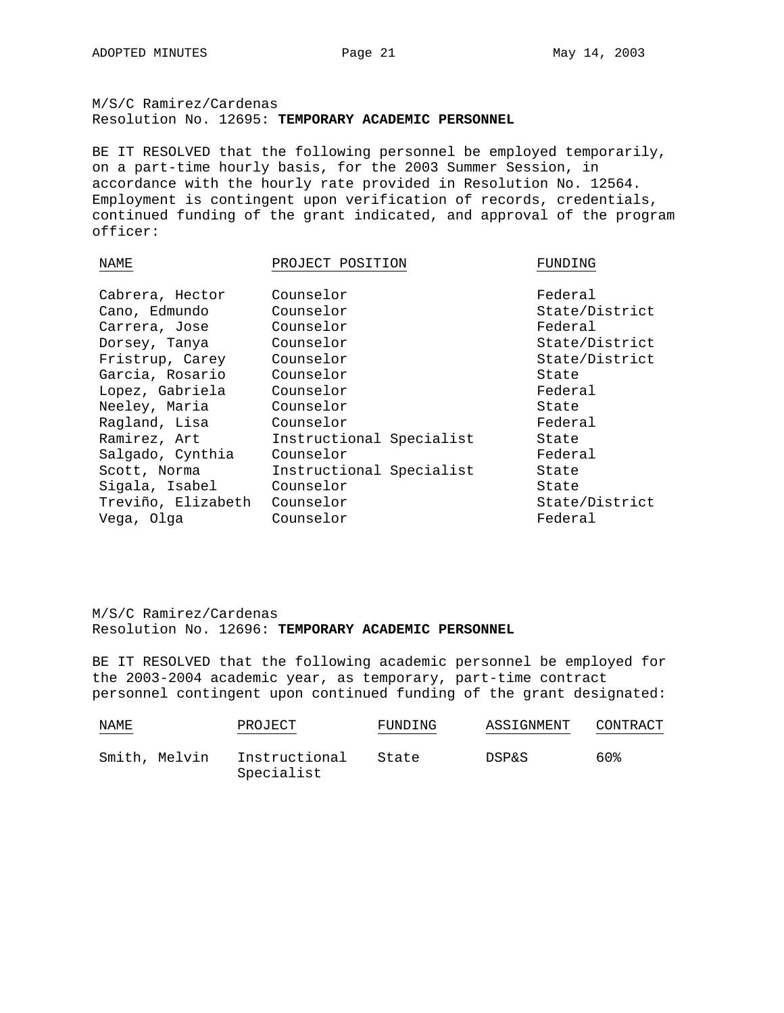M/S/C Ramirez/Cardenas Resolution No. 12695: **TEMPORARY ACADEMIC PERSONNEL**

BE IT RESOLVED that the following personnel be employed temporarily, on a part-time hourly basis, for the 2003 Summer Session, in accordance with the hourly rate provided in Resolution No. 12564. Employment is contingent upon verification of records, credentials, continued funding of the grant indicated, and approval of the program officer:

| NAME               | PROJECT POSITION         | FUNDING        |
|--------------------|--------------------------|----------------|
|                    |                          |                |
| Cabrera, Hector    | Counselor                | Federal        |
| Cano, Edmundo      | Counselor                | State/District |
| Carrera, Jose      | Counselor                | Federal        |
| Dorsey, Tanya      | Counselor                | State/District |
| Fristrup, Carey    | Counselor                | State/District |
| Garcia, Rosario    | Counselor                | State          |
| Lopez, Gabriela    | Counselor                | Federal        |
| Neeley, Maria      | Counselor                | State          |
| Ragland, Lisa      | Counselor                | Federal        |
| Ramirez, Art       | Instructional Specialist | State          |
| Salgado, Cynthia   | Counselor                | Federal        |
| Scott, Norma       | Instructional Specialist | State          |
| Sigala, Isabel     | Counselor                | State          |
| Treviño, Elizabeth | Counselor                | State/District |
| Vega, Olga         | Counselor                | Federal        |
|                    |                          |                |

# M/S/C Ramirez/Cardenas Resolution No. 12696: **TEMPORARY ACADEMIC PERSONNEL**

BE IT RESOLVED that the following academic personnel be employed for the 2003-2004 academic year, as temporary, part-time contract personnel contingent upon continued funding of the grant designated:

| NAME          | PROJECT                     | FUNDING | ASSIGNMENT | CONTRACT |
|---------------|-----------------------------|---------|------------|----------|
| Smith, Melvin | Instructional<br>Specialist | State   | DSP&S      | 60%      |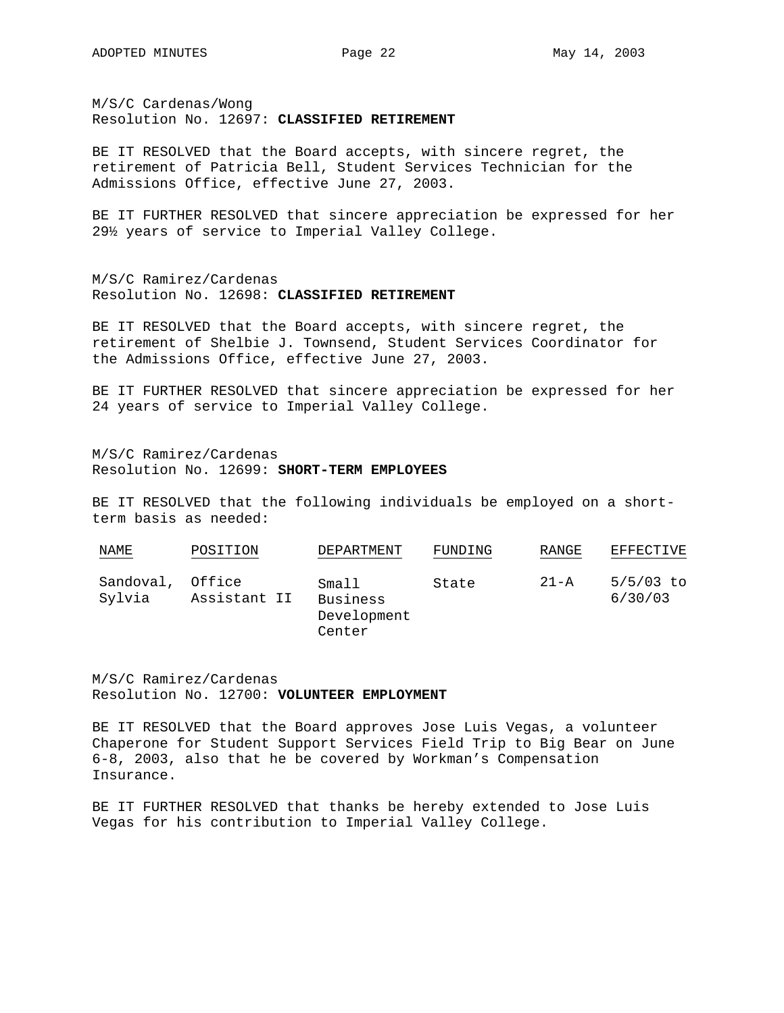M/S/C Cardenas/Wong Resolution No. 12697: **CLASSIFIED RETIREMENT**

BE IT RESOLVED that the Board accepts, with sincere regret, the retirement of Patricia Bell, Student Services Technician for the Admissions Office, effective June 27, 2003.

BE IT FURTHER RESOLVED that sincere appreciation be expressed for her 29½ years of service to Imperial Valley College.

M/S/C Ramirez/Cardenas Resolution No. 12698: **CLASSIFIED RETIREMENT**

BE IT RESOLVED that the Board accepts, with sincere regret, the retirement of Shelbie J. Townsend, Student Services Coordinator for the Admissions Office, effective June 27, 2003.

BE IT FURTHER RESOLVED that sincere appreciation be expressed for her 24 years of service to Imperial Valley College.

M/S/C Ramirez/Cardenas Resolution No. 12699: **SHORT-TERM EMPLOYEES**

BE IT RESOLVED that the following individuals be employed on a shortterm basis as needed:

| <b>NAME</b>         | POSITION               | DEPARTMENT                                 | FUNDING | RANGE    | EFFECTIVE              |
|---------------------|------------------------|--------------------------------------------|---------|----------|------------------------|
| Sandoval,<br>Svlvia | Office<br>Assistant II | Small<br>Business<br>Development<br>Center | State   | $21 - A$ | $5/5/03$ to<br>6/30/03 |

M/S/C Ramirez/Cardenas Resolution No. 12700: **VOLUNTEER EMPLOYMENT**

BE IT RESOLVED that the Board approves Jose Luis Vegas, a volunteer Chaperone for Student Support Services Field Trip to Big Bear on June 6-8, 2003, also that he be covered by Workman's Compensation Insurance.

BE IT FURTHER RESOLVED that thanks be hereby extended to Jose Luis Vegas for his contribution to Imperial Valley College.